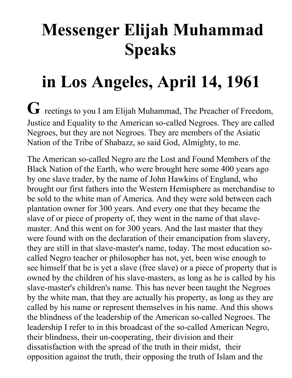## **Messenger Elijah Muhammad Speaks**

## **in Los Angeles, April 14, 1961**

**G** reetings to you I am Elijah Muhammad, The Preacher of Freedom, Justice and Equality to the American so-called Negroes. They are called Negroes, but they are not Negroes. They are members of the Asiatic Nation of the Tribe of Shabazz, so said God, Almighty, to me.

The American so-called Negro are the Lost and Found Members of the Black Nation of the Earth, who were brought here some 400 years ago by one slave trader, by the name of John Hawkins of England, who brought our first fathers into the Western Hemisphere as merchandise to be sold to the white man of America. And they were sold between each plantation owner for 300 years. And every one that they became the slave of or piece of property of, they went in the name of that slavemaster. And this went on for 300 years. And the last master that they were found with on the declaration of their emancipation from slavery, they are still in that slave-master's name, today. The most education socalled Negro teacher or philosopher has not, yet, been wise enough to see himself that he is yet a slave (free slave) or a piece of property that is owned by the children of his slave-masters, as long as he is called by his slave-master's children's name. This has never been taught the Negroes by the white man, that they are actually his property, as long as they are called by his name or represent themselves in his name. And this shows the blindness of the leadership of the American so-called Negroes. The leadership I refer to in this broadcast of the so-called American Negro, their blindness, their un-cooperating, their division and their dissatisfaction with the spread of the truth in their midst, their opposition against the truth, their opposing the truth of Islam and the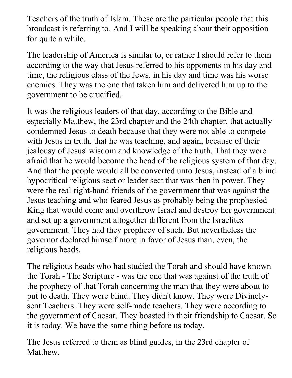Teachers of the truth of Islam. These are the particular people that this broadcast is referring to. And I will be speaking about their opposition for quite a while.

The leadership of America is similar to, or rather I should refer to them according to the way that Jesus referred to his opponents in his day and time, the religious class of the Jews, in his day and time was his worse enemies. They was the one that taken him and delivered him up to the government to be crucified.

It was the religious leaders of that day, according to the Bible and especially Matthew, the 23rd chapter and the 24th chapter, that actually condemned Jesus to death because that they were not able to compete with Jesus in truth, that he was teaching, and again, because of their jealousy of Jesus' wisdom and knowledge of the truth. That they were afraid that he would become the head of the religious system of that day. And that the people would all be converted unto Jesus, instead of a blind hypocritical religious sect or leader sect that was then in power. They were the real right-hand friends of the government that was against the Jesus teaching and who feared Jesus as probably being the prophesied King that would come and overthrow Israel and destroy her government and set up a government altogether different from the Israelites government. They had they prophecy of such. But nevertheless the governor declared himself more in favor of Jesus than, even, the religious heads.

The religious heads who had studied the Torah and should have known the Torah - The Scripture - was the one that was against of the truth of the prophecy of that Torah concerning the man that they were about to put to death. They were blind. They didn't know. They were Divinelysent Teachers. They were self-made teachers. They were according to the government of Caesar. They boasted in their friendship to Caesar. So it is today. We have the same thing before us today.

The Jesus referred to them as blind guides, in the 23rd chapter of **Matthew**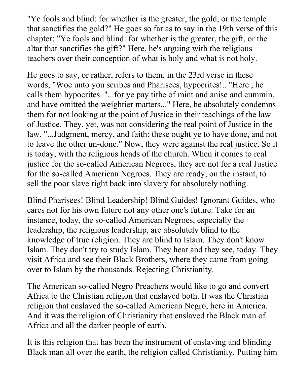"Ye fools and blind: for whether is the greater, the gold, or the temple that sanctifies the gold?" He goes so far as to say in the 19th verse of this chapter: "Ye fools and blind: for whether is the greater, the gift, or the altar that sanctifies the gift?" Here, he's arguing with the religious teachers over their conception of what is holy and what is not holy.

He goes to say, or rather, refers to them, in the 23rd verse in these words, "Woe unto you scribes and Pharisees, hypocrites!.. "Here , he calls them hypocrites. "...for ye pay tithe of mint and anise and cummin, and have omitted the weightier matters..." Here, he absolutely condemns them for not looking at the point of Justice in their teachings of the law of Justice. They, yet, was not considering the real point of Justice in the law. "...Judgment, mercy, and faith: these ought ye to have done, and not to leave the other un-done." Now, they were against the real justice. So it is today, with the religious heads of the church. When it comes to real justice for the so-called American Negroes, they are not for a real Justice for the so-called American Negroes. They are ready, on the instant, to sell the poor slave right back into slavery for absolutely nothing.

Blind Pharisees! Blind Leadership! Blind Guides! Ignorant Guides, who cares not for his own future not any other one's future. Take for an instance, today, the so-called American Negroes, especially the leadership, the religious leadership, are absolutely blind to the knowledge of true religion. They are blind to Islam. They don't know Islam. They don't try to study Islam. They hear and they see, today. They visit Africa and see their Black Brothers, where they came from going over to Islam by the thousands. Rejecting Christianity.

The American so-called Negro Preachers would like to go and convert Africa to the Christian religion that enslaved both. It was the Christian religion that enslaved the so-called American Negro, here in America. And it was the religion of Christianity that enslaved the Black man of Africa and all the darker people of earth.

It is this religion that has been the instrument of enslaving and blinding Black man all over the earth, the religion called Christianity. Putting him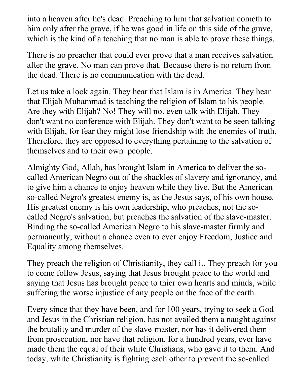into a heaven after he's dead. Preaching to him that salvation cometh to him only after the grave, if he was good in life on this side of the grave, which is the kind of a teaching that no man is able to prove these things.

There is no preacher that could ever prove that a man receives salvation after the grave. No man can prove that. Because there is no return from the dead. There is no communication with the dead.

Let us take a look again. They hear that Islam is in America. They hear that Elijah Muhammad is teaching the religion of Islam to his people. Are they with Elijah? No! They will not even talk with Elijah. They don't want no conference with Elijah. They don't want to be seen talking with Elijah, for fear they might lose friendship with the enemies of truth. Therefore, they are opposed to everything pertaining to the salvation of themselves and to their own people.

Almighty God, Allah, has brought Islam in America to deliver the socalled American Negro out of the shackles of slavery and ignorancy, and to give him a chance to enjoy heaven while they live. But the American so-called Negro's greatest enemy is, as the Jesus says, of his own house. His greatest enemy is his own leadership, who preaches, not the socalled Negro's salvation, but preaches the salvation of the slave-master. Binding the so-called American Negro to his slave-master firmly and permanently, without a chance even to ever enjoy Freedom, Justice and Equality among themselves.

They preach the religion of Christianity, they call it. They preach for you to come follow Jesus, saying that Jesus brought peace to the world and saying that Jesus has brought peace to thier own hearts and minds, while suffering the worse injustice of any people on the face of the earth.

Every since that they have been, and for 100 years, trying to seek a God and Jesus in the Christian religion, has not availed them a naught against the brutality and murder of the slave-master, nor has it delivered them from prosecution, nor have that religion, for a hundred years, ever have made them the equal of their white Christians, who gave it to them. And today, white Christianity is fighting each other to prevent the so-called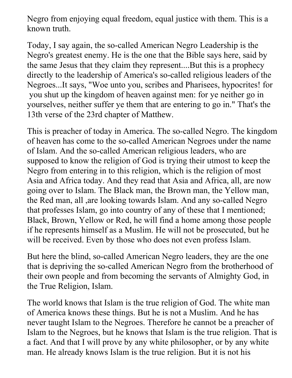Negro from enjoying equal freedom, equal justice with them. This is a known truth.

Today, I say again, the so-called American Negro Leadership is the Negro's greatest enemy. He is the one that the Bible says here, said by the same Jesus that they claim they represent....But this is a prophecy directly to the leadership of America's so-called religious leaders of the Negroes...It says, "Woe unto you, scribes and Pharisees, hypocrites! for you shut up the kingdom of heaven against men: for ye neither go in yourselves, neither suffer ye them that are entering to go in." That's the 13th verse of the 23rd chapter of Matthew.

This is preacher of today in America. The so-called Negro. The kingdom of heaven has come to the so-called American Negroes under the name of Islam. And the so-called American religious leaders, who are supposed to know the religion of God is trying their utmost to keep the Negro from entering in to this religion, which is the religion of most Asia and Africa today. And they read that Asia and Africa, all, are now going over to Islam. The Black man, the Brown man, the Yellow man, the Red man, all ,are looking towards Islam. And any so-called Negro that professes Islam, go into country of any of these that I mentioned; Black, Brown, Yellow or Red, he will find a home among those people if he represents himself as a Muslim. He will not be prosecuted, but he will be received. Even by those who does not even profess Islam.

But here the blind, so-called American Negro leaders, they are the one that is depriving the so-called American Negro from the brotherhood of their own people and from becoming the servants of Almighty God, in the True Religion, Islam.

The world knows that Islam is the true religion of God. The white man of America knows these things. But he is not a Muslim. And he has never taught Islam to the Negroes. Therefore he cannot be a preacher of Islam to the Negroes, but he knows that Islam is the true religion. That is a fact. And that I will prove by any white philosopher, or by any white man. He already knows Islam is the true religion. But it is not his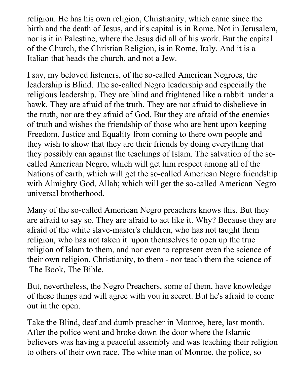religion. He has his own religion, Christianity, which came since the birth and the death of Jesus, and it's capital is in Rome. Not in Jerusalem, nor is it in Palestine, where the Jesus did all of his work. But the capital of the Church, the Christian Religion, is in Rome, Italy. And it is a Italian that heads the church, and not a Jew.

I say, my beloved listeners, of the so-called American Negroes, the leadership is Blind. The so-called Negro leadership and especially the religious leadership. They are blind and frightened like a rabbit under a hawk. They are afraid of the truth. They are not afraid to disbelieve in the truth, nor are they afraid of God. But they are afraid of the enemies of truth and wishes the friendship of those who are bent upon keeping Freedom, Justice and Equality from coming to there own people and they wish to show that they are their friends by doing everything that they possibly can against the teachings of Islam. The salvation of the socalled American Negro, which will get him respect among all of the Nations of earth, which will get the so-called American Negro friendship with Almighty God, Allah; which will get the so-called American Negro universal brotherhood.

Many of the so-called American Negro preachers knows this. But they are afraid to say so. They are afraid to act like it. Why? Because they are afraid of the white slave-master's children, who has not taught them religion, who has not taken it upon themselves to open up the true religion of Islam to them, and nor even to represent even the science of their own religion, Christianity, to them - nor teach them the science of The Book, The Bible.

But, nevertheless, the Negro Preachers, some of them, have knowledge of these things and will agree with you in secret. But he's afraid to come out in the open.

Take the Blind, deaf and dumb preacher in Monroe, here, last month. After the police went and broke down the door where the Islamic believers was having a peaceful assembly and was teaching their religion to others of their own race. The white man of Monroe, the police, so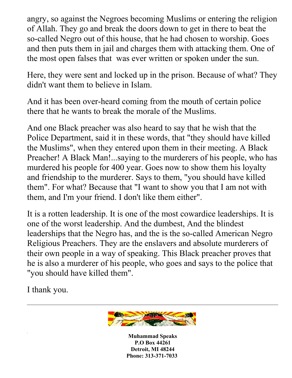angry, so against the Negroes becoming Muslims or entering the religion of Allah. They go and break the doors down to get in there to beat the so-called Negro out of this house, that he had chosen to worship. Goes and then puts them in jail and charges them with attacking them. One of the most open falses that was ever written or spoken under the sun.

Here, they were sent and locked up in the prison. Because of what? They didn't want them to believe in Islam.

And it has been over-heard coming from the mouth of certain police there that he wants to break the morale of the Muslims.

And one Black preacher was also heard to say that he wish that the Police Department, said it in these words, that "they should have killed the Muslims", when they entered upon them in their meeting. A Black Preacher! A Black Man!...saying to the murderers of his people, who has murdered his people for 400 year. Goes now to show them his loyalty and friendship to the murderer. Says to them, "you should have killed them". For what? Because that "I want to show you that I am not with them, and I'm your friend. I don't like them either".

It is a rotten leadership. It is one of the most cowardice leaderships. It is one of the worst leadership. And the dumbest, And the blindest leaderships that the Negro has, and the is the so-called American Negro Religious Preachers. They are the enslavers and absolute murderers of their own people in a way of speaking. This Black preacher proves that he is also a murderer of his people, who goes and says to the police that "you should have killed them".

I thank you.



**Muhammad Speaks P.O Box 44261 Detroit, MI 48244 Phone: 313-371-7033**